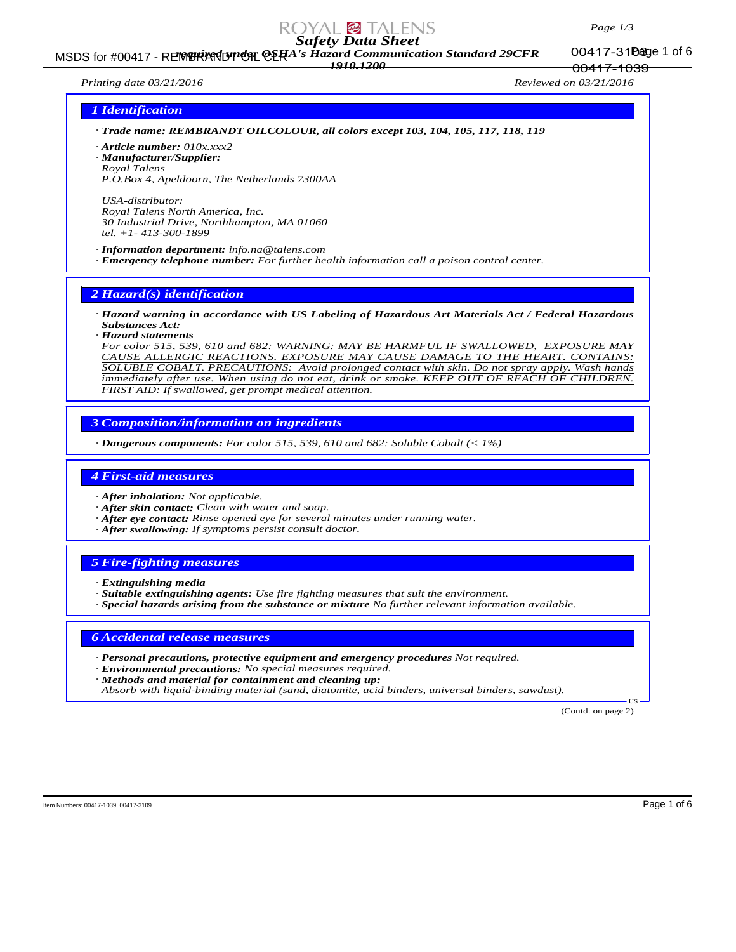### *Page 1/3*

00417-1039

# *Safety Data Sheet*

MSDS for #00417 - REMBRANDT CHA's Hazard Communication Standard 29CFR 00417-31Dage 1 of 6 *1910.1200*

00417-31**Page** 1 of 6

*Printing date 03/21/2016 Reviewed on 03/21/2016*

### *1 Identification*

*· Trade name: REMBRANDT OILCOLOUR, all colors except 103, 104, 105, 117, 118, 119*

*· Article number: 010x.xxx2*

*· Manufacturer/Supplier: Royal Talens P.O.Box 4, Apeldoorn, The Netherlands 7300AA*

*USA-distributor: Royal Talens North America, Inc. 30 Industrial Drive, Northhampton, MA 01060 tel. +1- 413-300-1899*

*· Information department: info.na@talens.com · Emergency telephone number: For further health information call a poison control center.*

*2 Hazard(s) identification*

*· Hazard warning in accordance with US Labeling of Hazardous Art Materials Act / Federal Hazardous Substances Act:*

*· Hazard statements*

*For color 515, 539, 610 and 682: WARNING: MAY BE HARMFUL IF SWALLOWED, EXPOSURE MAY CAUSE ALLERGIC REACTIONS. EXPOSURE MAY CAUSE DAMAGE TO THE HEART. CONTAINS: SOLUBLE COBALT. PRECAUTIONS: Avoid prolonged contact with skin. Do not spray apply. Wash hands immediately after use. When using do not eat, drink or smoke. KEEP OUT OF REACH OF CHILDREN. FIRST AID: If swallowed, get prompt medical attention.*

*3 Composition/information on ingredients*

*· Dangerous components: For color 515, 539, 610 and 682: Soluble Cobalt (< 1%)*

### *4 First-aid measures*

*· After inhalation: Not applicable.*

- *· After skin contact: Clean with water and soap.*
- *· After eye contact: Rinse opened eye for several minutes under running water.*
- *· After swallowing: If symptoms persist consult doctor.*

### *5 Fire-fighting measures*

- *· Extinguishing media*
- *· Suitable extinguishing agents: Use fire fighting measures that suit the environment.*
- *· Special hazards arising from the substance or mixture No further relevant information available.*

### *6 Accidental release measures*

- *· Personal precautions, protective equipment and emergency procedures Not required.*
- *· Environmental precautions: No special measures required.*
- *· Methods and material for containment and cleaning up:*

*Absorb with liquid-binding material (sand, diatomite, acid binders, universal binders, sawdust).*

(Contd. on page 2)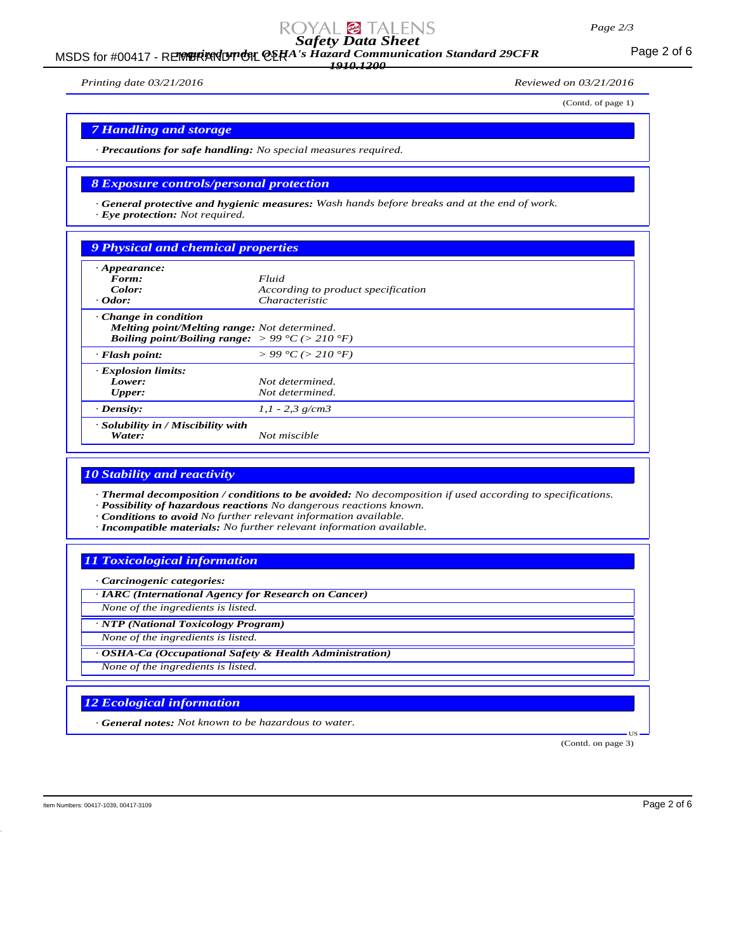### *Page 2/3*

# *Safety Data Sheet*

MSDS for #00417 - REMBRANDT ON CERA's Hazard Communication Standard 29CFR<br>MSDS for #00417 - REMBRANDT ON CERA's Hazard Communication Standard 29CFR *1910.1200*

*Printing date 03/21/2016 Reviewed on 03/21/2016*

(Contd. of page 1)

# *7 Handling and storage*

*· Precautions for safe handling: No special measures required.*

### *8 Exposure controls/personal protection*

*· General protective and hygienic measures: Wash hands before breaks and at the end of work. · Eye protection: Not required.*

# *9 Physical and chemical properties*

| $\cdot$ Appearance:<br>Form:<br>Color:<br>$\cdot$ Odor:                                                                                                          | Fluid<br>According to product specification<br>Characteristic |
|------------------------------------------------------------------------------------------------------------------------------------------------------------------|---------------------------------------------------------------|
| $\cdot$ Change in condition<br><b>Melting point/Melting range:</b> Not determined.<br><b>Boiling point/Boiling range:</b> $> 99 \degree C$ ( $> 210 \degree F$ ) |                                                               |
| $\cdot$ Flash point:                                                                                                                                             | $> 99 \degree C$ ( $> 210 \degree F$ )                        |
| <b>Explosion limits:</b><br>Lower:<br><b>Upper:</b>                                                                                                              | Not determined.<br>Not determined.                            |
| $\cdot$ Density:                                                                                                                                                 | $1,1 - 2,3$ g/cm3                                             |
| · Solubility in / Miscibility with<br>Water:                                                                                                                     | Not miscible                                                  |

### *10 Stability and reactivity*

*· Thermal decomposition / conditions to be avoided: No decomposition if used according to specifications. · Possibility of hazardous reactions No dangerous reactions known.*

*· Conditions to avoid No further relevant information available.*

*· Incompatible materials: No further relevant information available.*

### *11 Toxicological information*

*· Carcinogenic categories:*

*· IARC (International Agency for Research on Cancer) None of the ingredients is listed.*

*· NTP (National Toxicology Program)*

*None of the ingredients is listed.*

*· OSHA-Ca (Occupational Safety & Health Administration) None of the ingredients is listed.*

# *12 Ecological information*

*· General notes: Not known to be hazardous to water.*

(Contd. on page 3)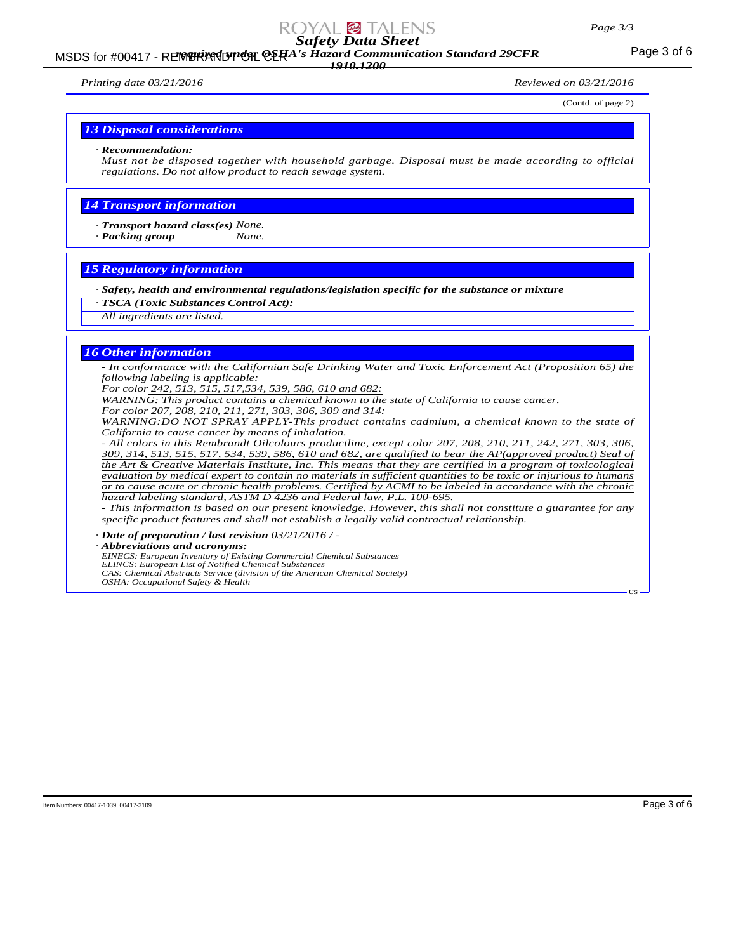# *Safety Data Sheet*

### MSDS for #00417 - REMBRANDT ON CERA's Hazard Communication Standard 29CFR<br>MSDS for #00417 - REMBRANDT ON CERA's Hazard Communication Standard 29CFR *1910.1200*

*Printing date 03/21/2016 Reviewed on 03/21/2016*

(Contd. of page 2)

#### *13 Disposal considerations*

#### *· Recommendation:*

*Must not be disposed together with household garbage. Disposal must be made according to official regulations. Do not allow product to reach sewage system.*

### *14 Transport information*

*· Transport hazard class(es) None.*

*· Packing group None.*

### *15 Regulatory information*

*· Safety, health and environmental regulations/legislation specific for the substance or mixture*

- *· TSCA (Toxic Substances Control Act):*
- *All ingredients are listed.*

### *16 Other information*

*- In conformance with the Californian Safe Drinking Water and Toxic Enforcement Act (Proposition 65) the following labeling is applicable:*

*For color 242, 513, 515, 517,534, 539, 586, 610 and 682:*

*WARNING: This product contains a chemical known to the state of California to cause cancer.*

*For color 207, 208, 210, 211, 271, 303, 306, 309 and 314:*

*WARNING:DO NOT SPRAY APPLY-This product contains cadmium, a chemical known to the state of California to cause cancer by means of inhalation.*

*- All colors in this Rembrandt Oilcolours productline, except color 207, 208, 210, 211, 242, 271, 303, 306, 309, 314, 513, 515, 517, 534, 539, 586, 610 and 682, are qualified to bear the AP(approved product) Seal of the Art & Creative Materials Institute, Inc. This means that they are certified in a program of toxicological evaluation by medical expert to contain no materials in sufficient quantities to be toxic or injurious to humans or to cause acute or chronic health problems. Certified by ACMI to be labeled in accordance with the chronic hazard labeling standard, ASTM D 4236 and Federal law, P.L. 100-695.*

*- This information is based on our present knowledge. However, this shall not constitute a guarantee for any specific product features and shall not establish a legally valid contractual relationship.*

*· Date of preparation / last revision 03/21/2016 / -*

*· Abbreviations and acronyms:*

*EINECS: European Inventory of Existing Commercial Chemical Substances ELINCS: European List of Notified Chemical Substances*

*CAS: Chemical Abstracts Service (division of the American Chemical Society)*

*OSHA: Occupational Safety & Health*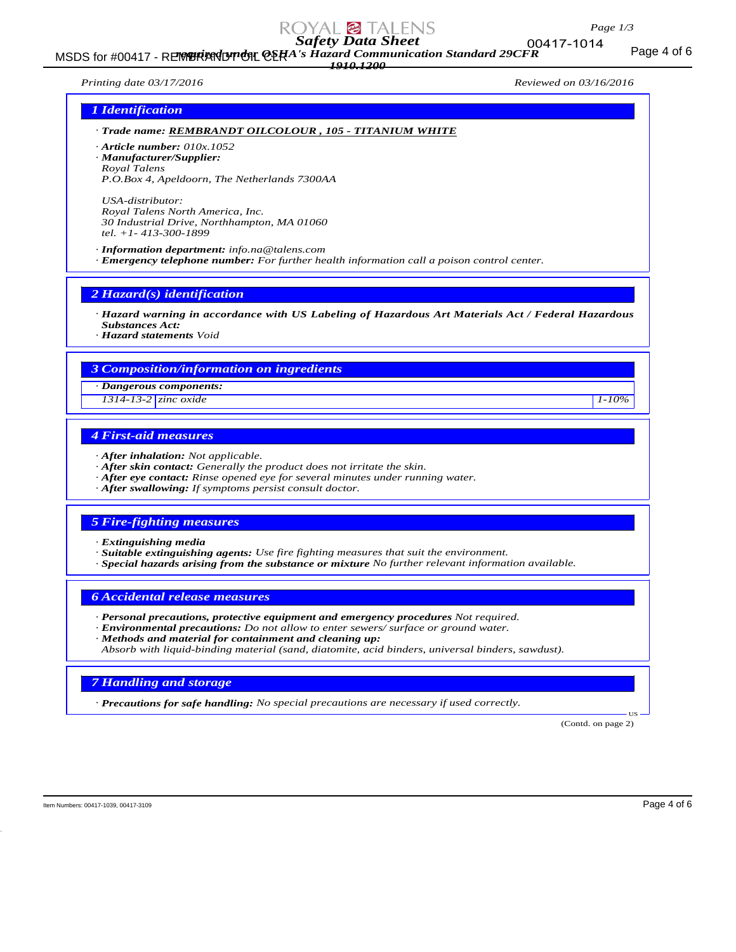## *Page 1/3*

# *Safety Data Sheet*

MSDS for #00417 - REMBRANDT ONE OSHA's Hazard Communication Standard 29CFR<br>MSDS for #00417 - REMBRANDT ONE OSHING ASSESSMENT ONE OF THE ORDER *1910.1200*

00417-1014

*Printing date 03/17/2016 Reviewed on 03/16/2016*

### *1 Identification*

*· Trade name: REMBRANDT OILCOLOUR , 105 - TITANIUM WHITE*

*· Article number: 010x.1052*

*· Manufacturer/Supplier: Royal Talens*

*P.O.Box 4, Apeldoorn, The Netherlands 7300AA*

*USA-distributor: Royal Talens North America, Inc. 30 Industrial Drive, Northhampton, MA 01060 tel. +1- 413-300-1899*

*· Information department: info.na@talens.com · Emergency telephone number: For further health information call a poison control center.*

*2 Hazard(s) identification*

*· Hazard warning in accordance with US Labeling of Hazardous Art Materials Act / Federal Hazardous Substances Act:*

*· Hazard statements Void*

### *3 Composition/information on ingredients*

*· Dangerous components:*

*1314-13-2 zinc oxide 1-10%*

# *4 First-aid measures*

- *· After inhalation: Not applicable.*
- *· After skin contact: Generally the product does not irritate the skin.*
- *· After eye contact: Rinse opened eye for several minutes under running water.*
- *· After swallowing: If symptoms persist consult doctor.*

### *5 Fire-fighting measures*

- *· Extinguishing media*
- *· Suitable extinguishing agents: Use fire fighting measures that suit the environment.*
- *· Special hazards arising from the substance or mixture No further relevant information available.*

### *6 Accidental release measures*

- *· Personal precautions, protective equipment and emergency procedures Not required.*
- *· Environmental precautions: Do not allow to enter sewers/ surface or ground water.*
- *· Methods and material for containment and cleaning up:*
- *Absorb with liquid-binding material (sand, diatomite, acid binders, universal binders, sawdust).*

### *7 Handling and storage*

*· Precautions for safe handling: No special precautions are necessary if used correctly.*

(Contd. on page 2)

US

Item Numbers: 00417-1039, 00417-3109 Page 4 of 6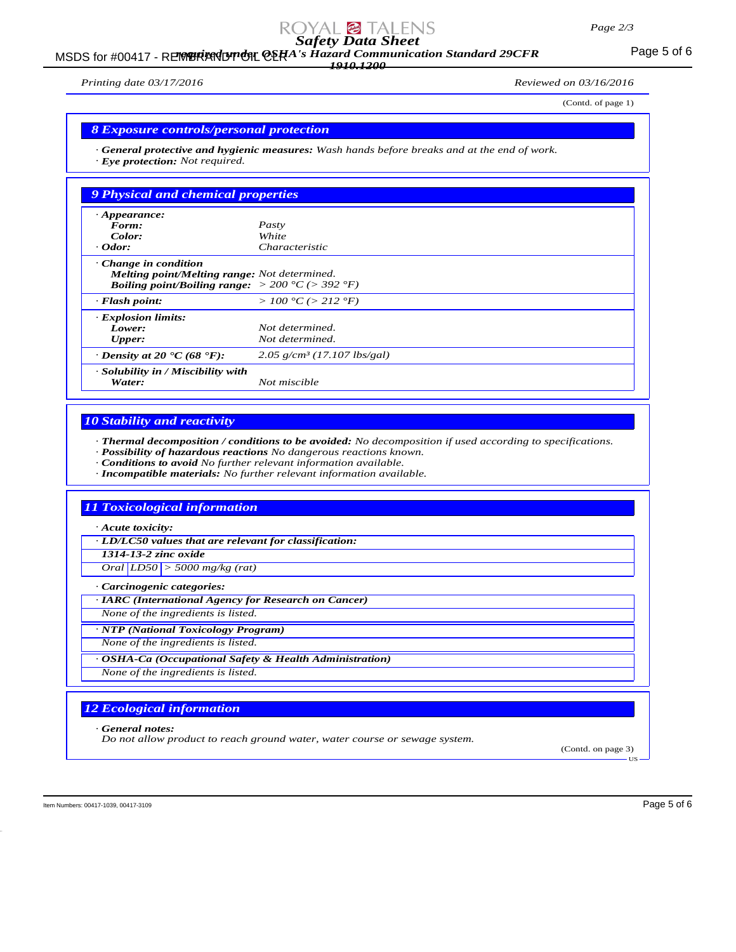# *Safety Data Sheet*

### MSDS for #00417 - REMBRANDT ON CERA's Hazard Communication Standard 29CFR<br>MSDS for #00417 - REMBRANDT ON CERA's Hazard Communication Standard 29CFR *1910.1200*

*Printing date 03/17/2016 Reviewed on 03/16/2016*

(Contd. of page 1)

# *8 Exposure controls/personal protection*

*· General protective and hygienic measures: Wash hands before breaks and at the end of work. · Eye protection: Not required.*

| 9 Physical and chemical properties                                                                                                                 |                                           |
|----------------------------------------------------------------------------------------------------------------------------------------------------|-------------------------------------------|
| $\cdot$ Appearance:                                                                                                                                |                                           |
| Form:                                                                                                                                              | Pasty                                     |
| Color:                                                                                                                                             | White                                     |
| $\cdot$ Odor:                                                                                                                                      | <i>Characteristic</i>                     |
| Change in condition<br>Melting point/Melting range: Not determined.<br><b>Boiling point/Boiling range:</b> $> 200 \degree C$ ( $> 392 \degree F$ ) |                                           |
| $\cdot$ Flash point:                                                                                                                               | > 100 °C (> 212 °F)                       |
| <b>Explosion limits:</b>                                                                                                                           |                                           |
| Lower:                                                                                                                                             | Not determined.                           |
| <b>Upper:</b>                                                                                                                                      | Not determined.                           |
| $\cdot$ Density at 20 $\cdot$ C (68 $\cdot$ F):                                                                                                    | $2.05$ g/cm <sup>3</sup> (17.107 lbs/gal) |
| · Solubility in / Miscibility with<br>Water:                                                                                                       | Not miscible                              |

### *10 Stability and reactivity*

*· Thermal decomposition / conditions to be avoided: No decomposition if used according to specifications.*

- *· Possibility of hazardous reactions No dangerous reactions known.*
- *· Conditions to avoid No further relevant information available.*
- *· Incompatible materials: No further relevant information available.*

### *11 Toxicological information*

*· Acute toxicity:*

*· LD/LC50 values that are relevant for classification:*

*1314-13-2 zinc oxide*

*Oral LD50 > 5000 mg/kg (rat)*

*· Carcinogenic categories:*

*· IARC (International Agency for Research on Cancer)*

*None of the ingredients is listed.*

*· NTP (National Toxicology Program)*

*None of the ingredients is listed.*

*· OSHA-Ca (Occupational Safety & Health Administration)*

*None of the ingredients is listed.*

# *12 Ecological information*

*· General notes:*

*Do not allow product to reach ground water, water course or sewage system.*

(Contd. on page 3)